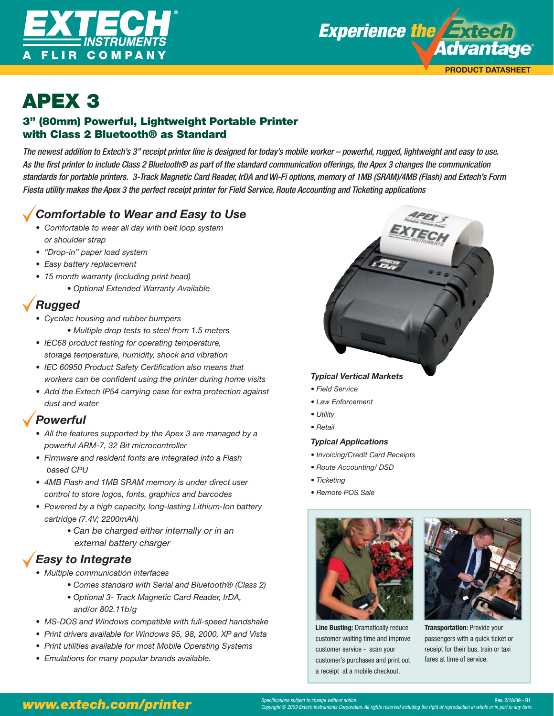



# APEX 3<br>3" (80mm) Powerful, Lightweight Portable Printer with Class 2 Bluetooth® as Standard

The newest addition to Extech's 3" receipt printer line is designed for today's mobile worker – powerful, rugged, lightweight and easy to use. As the first printer to include Class 2 Bluetooth® as part of the standard communication offerings, the Apex 3 changes the communication standards for portable printers. 3-Track Magnetic Card Reader, IrDA and Wi-Fi options, memory of 1MB (SRAM)/4MB (Flash) and Extech's Form Fiesta utility makes the Apex 3 the perfect receipt printer for Field Service, Route Accounting and Ticketing applications

## *Comfortable to Wear and Easy to Use*

- *Comfortable to wear all day with belt loop system or shoulder strap*
- *"Drop-in" paper load system*
- *Easy battery replacement*
- *15 month warranty (including print head)*
	- *Optional Extended Warranty Available*

# *Rugged*

- *Cycolac housing and rubber bumpers* 
	- *Multiple drop tests to steel from 1.5 meters*
- *IEC68 product testing for operating temperature, storage temperature, humidity, shock and vibration*
- IEC 60950 Product Safety Certification also means that workers can be confident using the printer during home visits
- *Add the Extech IP54 carrying case for extra protection against dust and water*

### *Powerful*

- *All the features supported by the Apex 3 are managed by a powerful ARM-7, 32 Bit microcontroller*
- *Firmware and resident fonts are integrated into a Flash based CPU*
- *4MB Flash and 1MB SRAM memory is under direct user control to store logos, fonts, graphics and barcodes*
- *Powered by a high capacity, long-lasting Lithium-Ion battery cartridge (7.4V; 2200mAh)* 
	- *Can be charged either internally or in an external battery charger*

## *Easy to Integrate*

- *Multiple communication interfaces* 
	- *Comes standard with Serial and Bluetooth® (Class 2)*
	- *Optional 3- Track Magnetic Card Reader, IrDA, and/or 802.11b/g*
- *MS-DOS and Windows compatible with full-speed handshake*
- *Print drivers available for Windows 95, 98, 2000, XP and Vista*
- *Print utilities available for most Mobile Operating Systems*
- *Emulations for many popular brands available.*

### *Typical Vertical Markets*

- *Field Service*
- *Law Enforcement*
- *Utility*
- *Retail*

### *Typical Applications*

- *Invoicing/Credit Card Receipts*
- *Route Accounting/ DSD*
- *Ticketing*
- *Remote POS Sale*



**Line Busting:** Dramatically reduce customer waiting time and improve customer service - scan your customer's purchases and print out a receipt at a mobile checkout.



**Transportation:** Provide your passengers with a quick ticket or receipt for their bus, train or taxi fares at time of service.